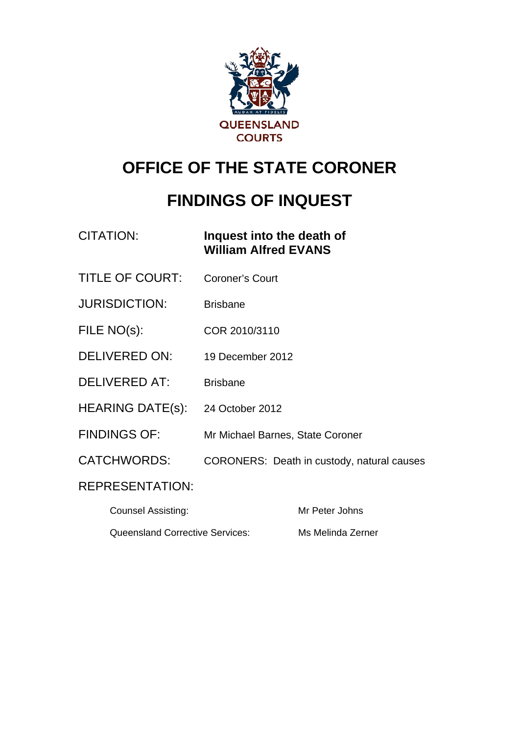

# **OFFICE OF THE STATE CORONER**

# **FINDINGS OF INQUEST**

| CITATION: | Inquest into the death of   |
|-----------|-----------------------------|
|           | <b>William Alfred EVANS</b> |
|           |                             |

- TITLE OF COURT: Coroner's Court
- JURISDICTION: Brisbane
- FILE NO(s): COR 2010/3110
- DELIVERED ON: 19 December 2012
- DELIVERED AT: Brisbane
- HEARING DATE(s): 24 October 2012
- FINDINGS OF: Mr Michael Barnes, State Coroner
- CATCHWORDS: CORONERS: Death in custody, natural causes

## REPRESENTATION:

| Counsel Assisting:                     | Mr Peter Johns    |
|----------------------------------------|-------------------|
| <b>Queensland Corrective Services:</b> | Ms Melinda Zerner |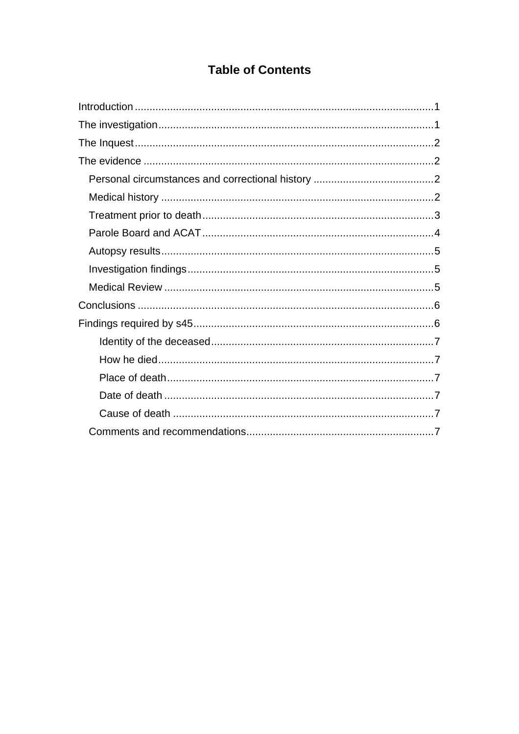## **Table of Contents**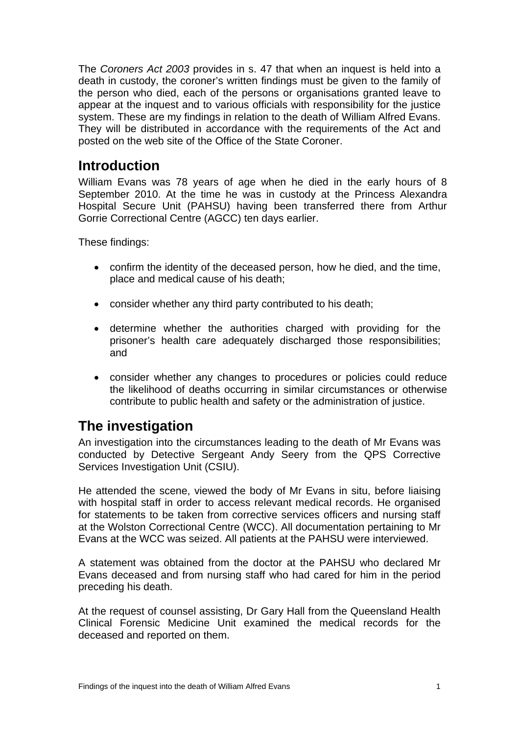<span id="page-2-0"></span>The *Coroners Act 2003* provides in s. 47 that when an inquest is held into a death in custody, the coroner's written findings must be given to the family of the person who died, each of the persons or organisations granted leave to appear at the inquest and to various officials with responsibility for the justice system. These are my findings in relation to the death of William Alfred Evans. They will be distributed in accordance with the requirements of the Act and posted on the web site of the Office of the State Coroner.

## **Introduction**

William Evans was 78 years of age when he died in the early hours of 8 September 2010. At the time he was in custody at the Princess Alexandra Hospital Secure Unit (PAHSU) having been transferred there from Arthur Gorrie Correctional Centre (AGCC) ten days earlier.

These findings:

- confirm the identity of the deceased person, how he died, and the time, place and medical cause of his death;
- consider whether any third party contributed to his death;
- determine whether the authorities charged with providing for the prisoner's health care adequately discharged those responsibilities; and
- consider whether any changes to procedures or policies could reduce the likelihood of deaths occurring in similar circumstances or otherwise contribute to public health and safety or the administration of justice.

# **The investigation**

An investigation into the circumstances leading to the death of Mr Evans was conducted by Detective Sergeant Andy Seery from the QPS Corrective Services Investigation Unit (CSIU).

He attended the scene, viewed the body of Mr Evans in situ, before liaising with hospital staff in order to access relevant medical records. He organised for statements to be taken from corrective services officers and nursing staff at the Wolston Correctional Centre (WCC). All documentation pertaining to Mr Evans at the WCC was seized. All patients at the PAHSU were interviewed.

A statement was obtained from the doctor at the PAHSU who declared Mr Evans deceased and from nursing staff who had cared for him in the period preceding his death.

At the request of counsel assisting, Dr Gary Hall from the Queensland Health Clinical Forensic Medicine Unit examined the medical records for the deceased and reported on them.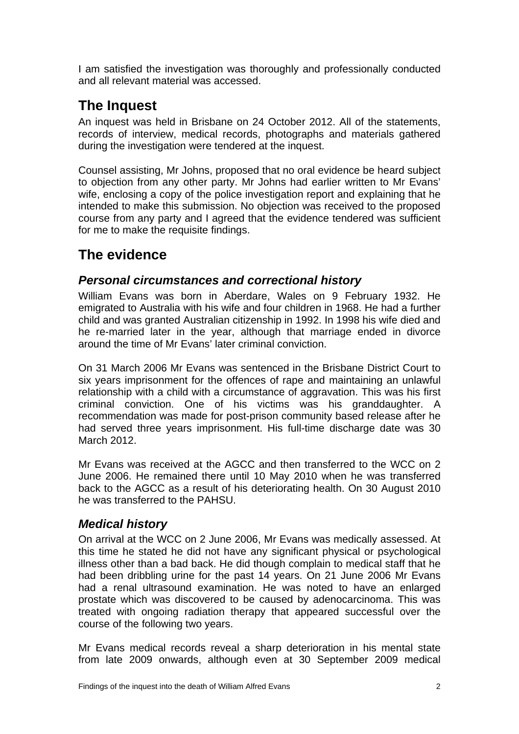<span id="page-3-0"></span>I am satisfied the investigation was thoroughly and professionally conducted and all relevant material was accessed.

# **The Inquest**

An inquest was held in Brisbane on 24 October 2012. All of the statements, records of interview, medical records, photographs and materials gathered during the investigation were tendered at the inquest.

Counsel assisting, Mr Johns, proposed that no oral evidence be heard subject to objection from any other party. Mr Johns had earlier written to Mr Evans' wife, enclosing a copy of the police investigation report and explaining that he intended to make this submission. No objection was received to the proposed course from any party and I agreed that the evidence tendered was sufficient for me to make the requisite findings.

# **The evidence**

### *Personal circumstances and correctional history*

William Evans was born in Aberdare, Wales on 9 February 1932. He emigrated to Australia with his wife and four children in 1968. He had a further child and was granted Australian citizenship in 1992. In 1998 his wife died and he re-married later in the year, although that marriage ended in divorce around the time of Mr Evans' later criminal conviction.

On 31 March 2006 Mr Evans was sentenced in the Brisbane District Court to six years imprisonment for the offences of rape and maintaining an unlawful relationship with a child with a circumstance of aggravation. This was his first criminal conviction. One of his victims was his granddaughter. A recommendation was made for post-prison community based release after he had served three years imprisonment. His full-time discharge date was 30 March 2012.

Mr Evans was received at the AGCC and then transferred to the WCC on 2 June 2006. He remained there until 10 May 2010 when he was transferred back to the AGCC as a result of his deteriorating health. On 30 August 2010 he was transferred to the PAHSU.

## *Medical history*

On arrival at the WCC on 2 June 2006, Mr Evans was medically assessed. At this time he stated he did not have any significant physical or psychological illness other than a bad back. He did though complain to medical staff that he had been dribbling urine for the past 14 years. On 21 June 2006 Mr Evans had a renal ultrasound examination. He was noted to have an enlarged prostate which was discovered to be caused by adenocarcinoma. This was treated with ongoing radiation therapy that appeared successful over the course of the following two years.

Mr Evans medical records reveal a sharp deterioration in his mental state from late 2009 onwards, although even at 30 September 2009 medical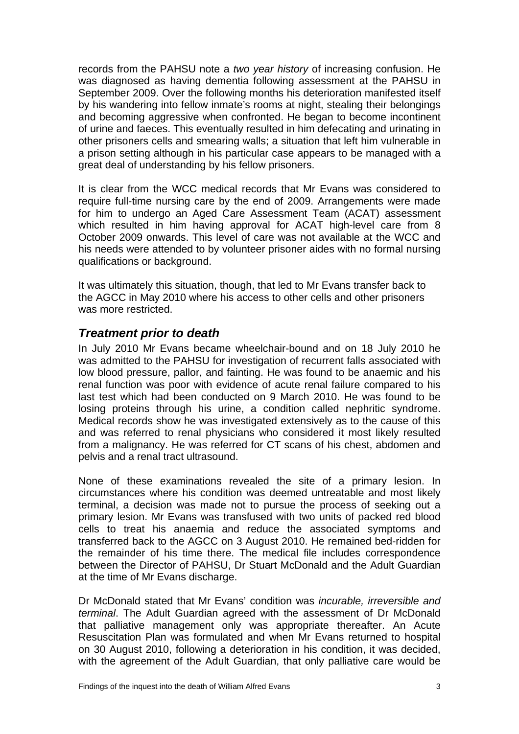<span id="page-4-0"></span>records from the PAHSU note a *two year history* of increasing confusion. He was diagnosed as having dementia following assessment at the PAHSU in September 2009. Over the following months his deterioration manifested itself by his wandering into fellow inmate's rooms at night, stealing their belongings and becoming aggressive when confronted. He began to become incontinent of urine and faeces. This eventually resulted in him defecating and urinating in other prisoners cells and smearing walls; a situation that left him vulnerable in a prison setting although in his particular case appears to be managed with a great deal of understanding by his fellow prisoners.

It is clear from the WCC medical records that Mr Evans was considered to require full-time nursing care by the end of 2009. Arrangements were made for him to undergo an Aged Care Assessment Team (ACAT) assessment which resulted in him having approval for ACAT high-level care from 8 October 2009 onwards. This level of care was not available at the WCC and his needs were attended to by volunteer prisoner aides with no formal nursing qualifications or background.

It was ultimately this situation, though, that led to Mr Evans transfer back to the AGCC in May 2010 where his access to other cells and other prisoners was more restricted.

#### *Treatment prior to death*

In July 2010 Mr Evans became wheelchair-bound and on 18 July 2010 he was admitted to the PAHSU for investigation of recurrent falls associated with low blood pressure, pallor, and fainting. He was found to be anaemic and his renal function was poor with evidence of acute renal failure compared to his last test which had been conducted on 9 March 2010. He was found to be losing proteins through his urine, a condition called nephritic syndrome. Medical records show he was investigated extensively as to the cause of this and was referred to renal physicians who considered it most likely resulted from a malignancy. He was referred for CT scans of his chest, abdomen and pelvis and a renal tract ultrasound.

None of these examinations revealed the site of a primary lesion. In circumstances where his condition was deemed untreatable and most likely terminal, a decision was made not to pursue the process of seeking out a primary lesion. Mr Evans was transfused with two units of packed red blood cells to treat his anaemia and reduce the associated symptoms and transferred back to the AGCC on 3 August 2010. He remained bed-ridden for the remainder of his time there. The medical file includes correspondence between the Director of PAHSU, Dr Stuart McDonald and the Adult Guardian at the time of Mr Evans discharge.

Dr McDonald stated that Mr Evans' condition was *incurable, irreversible and terminal*. The Adult Guardian agreed with the assessment of Dr McDonald that palliative management only was appropriate thereafter. An Acute Resuscitation Plan was formulated and when Mr Evans returned to hospital on 30 August 2010, following a deterioration in his condition, it was decided, with the agreement of the Adult Guardian, that only palliative care would be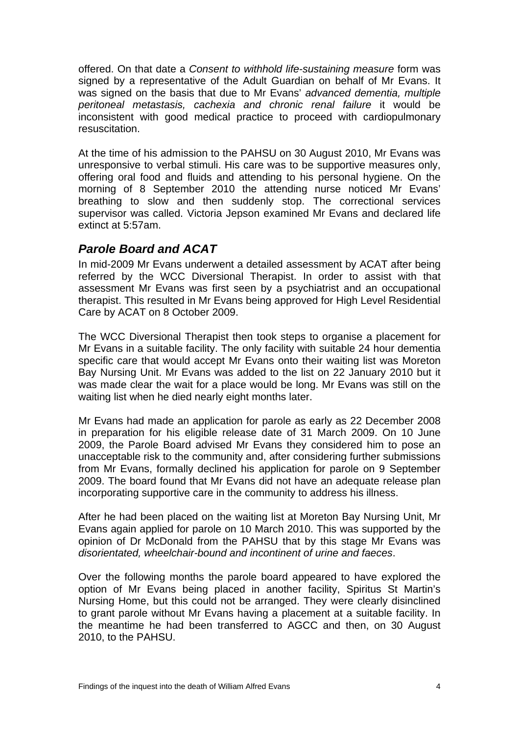<span id="page-5-0"></span>offered. On that date a *Consent to withhold life-sustaining measure* form was signed by a representative of the Adult Guardian on behalf of Mr Evans. It was signed on the basis that due to Mr Evans' *advanced dementia, multiple peritoneal metastasis, cachexia and chronic renal failure* it would be inconsistent with good medical practice to proceed with cardiopulmonary resuscitation.

At the time of his admission to the PAHSU on 30 August 2010, Mr Evans was unresponsive to verbal stimuli. His care was to be supportive measures only, offering oral food and fluids and attending to his personal hygiene. On the morning of 8 September 2010 the attending nurse noticed Mr Evans' breathing to slow and then suddenly stop. The correctional services supervisor was called. Victoria Jepson examined Mr Evans and declared life extinct at 5:57am.

#### *Parole Board and ACAT*

In mid-2009 Mr Evans underwent a detailed assessment by ACAT after being referred by the WCC Diversional Therapist. In order to assist with that assessment Mr Evans was first seen by a psychiatrist and an occupational therapist. This resulted in Mr Evans being approved for High Level Residential Care by ACAT on 8 October 2009.

The WCC Diversional Therapist then took steps to organise a placement for Mr Evans in a suitable facility. The only facility with suitable 24 hour dementia specific care that would accept Mr Evans onto their waiting list was Moreton Bay Nursing Unit. Mr Evans was added to the list on 22 January 2010 but it was made clear the wait for a place would be long. Mr Evans was still on the waiting list when he died nearly eight months later.

Mr Evans had made an application for parole as early as 22 December 2008 in preparation for his eligible release date of 31 March 2009. On 10 June 2009, the Parole Board advised Mr Evans they considered him to pose an unacceptable risk to the community and, after considering further submissions from Mr Evans, formally declined his application for parole on 9 September 2009. The board found that Mr Evans did not have an adequate release plan incorporating supportive care in the community to address his illness.

After he had been placed on the waiting list at Moreton Bay Nursing Unit, Mr Evans again applied for parole on 10 March 2010. This was supported by the opinion of Dr McDonald from the PAHSU that by this stage Mr Evans was *disorientated, wheelchair-bound and incontinent of urine and faeces*.

Over the following months the parole board appeared to have explored the option of Mr Evans being placed in another facility, Spiritus St Martin's Nursing Home, but this could not be arranged. They were clearly disinclined to grant parole without Mr Evans having a placement at a suitable facility. In the meantime he had been transferred to AGCC and then, on 30 August 2010, to the PAHSU.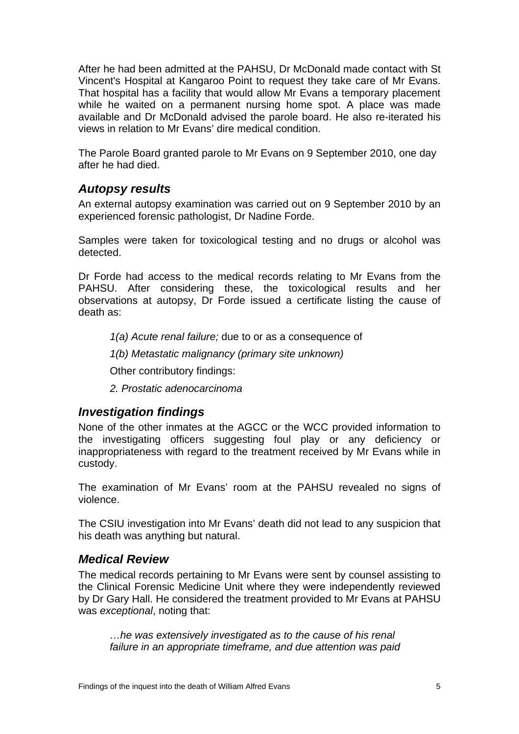<span id="page-6-0"></span>After he had been admitted at the PAHSU, Dr McDonald made contact with St Vincent's Hospital at Kangaroo Point to request they take care of Mr Evans. That hospital has a facility that would allow Mr Evans a temporary placement while he waited on a permanent nursing home spot. A place was made available and Dr McDonald advised the parole board. He also re-iterated his views in relation to Mr Evans' dire medical condition.

The Parole Board granted parole to Mr Evans on 9 September 2010, one day after he had died.

#### *Autopsy results*

An external autopsy examination was carried out on 9 September 2010 by an experienced forensic pathologist, Dr Nadine Forde.

Samples were taken for toxicological testing and no drugs or alcohol was detected.

Dr Forde had access to the medical records relating to Mr Evans from the PAHSU. After considering these, the toxicological results and her observations at autopsy, Dr Forde issued a certificate listing the cause of death as:

*1(a) Acute renal failure;* due to or as a consequence of

*1(b) Metastatic malignancy (primary site unknown)* 

Other contributory findings:

*2. Prostatic adenocarcinoma* 

#### *Investigation findings*

None of the other inmates at the AGCC or the WCC provided information to the investigating officers suggesting foul play or any deficiency or inappropriateness with regard to the treatment received by Mr Evans while in custody.

The examination of Mr Evans' room at the PAHSU revealed no signs of violence.

The CSIU investigation into Mr Evans' death did not lead to any suspicion that his death was anything but natural.

#### *Medical Review*

The medical records pertaining to Mr Evans were sent by counsel assisting to the Clinical Forensic Medicine Unit where they were independently reviewed by Dr Gary Hall. He considered the treatment provided to Mr Evans at PAHSU was *exceptional*, noting that:

*…he was extensively investigated as to the cause of his renal failure in an appropriate timeframe, and due attention was paid*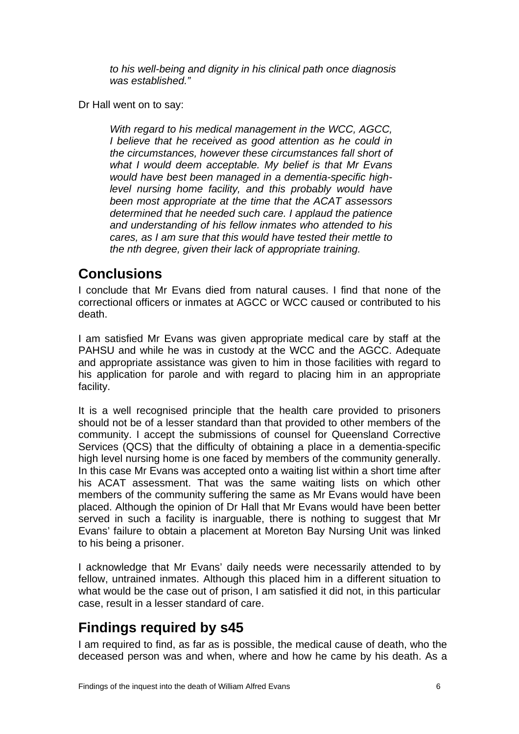*to his well-being and dignity in his clinical path once diagnosis was established."*

<span id="page-7-0"></span>Dr Hall went on to say:

*With regard to his medical management in the WCC, AGCC, I believe that he received as good attention as he could in the circumstances, however these circumstances fall short of what I would deem acceptable. My belief is that Mr Evans would have best been managed in a dementia-specific highlevel nursing home facility, and this probably would have been most appropriate at the time that the ACAT assessors determined that he needed such care. I applaud the patience and understanding of his fellow inmates who attended to his cares, as I am sure that this would have tested their mettle to the nth degree, given their lack of appropriate training.* 

## **Conclusions**

I conclude that Mr Evans died from natural causes. I find that none of the correctional officers or inmates at AGCC or WCC caused or contributed to his death.

I am satisfied Mr Evans was given appropriate medical care by staff at the PAHSU and while he was in custody at the WCC and the AGCC. Adequate and appropriate assistance was given to him in those facilities with regard to his application for parole and with regard to placing him in an appropriate facility.

It is a well recognised principle that the health care provided to prisoners should not be of a lesser standard than that provided to other members of the community. I accept the submissions of counsel for Queensland Corrective Services (QCS) that the difficulty of obtaining a place in a dementia-specific high level nursing home is one faced by members of the community generally. In this case Mr Evans was accepted onto a waiting list within a short time after his ACAT assessment. That was the same waiting lists on which other members of the community suffering the same as Mr Evans would have been placed. Although the opinion of Dr Hall that Mr Evans would have been better served in such a facility is inarguable, there is nothing to suggest that Mr Evans' failure to obtain a placement at Moreton Bay Nursing Unit was linked to his being a prisoner.

I acknowledge that Mr Evans' daily needs were necessarily attended to by fellow, untrained inmates. Although this placed him in a different situation to what would be the case out of prison, I am satisfied it did not, in this particular case, result in a lesser standard of care.

# **Findings required by s45**

I am required to find, as far as is possible, the medical cause of death, who the deceased person was and when, where and how he came by his death. As a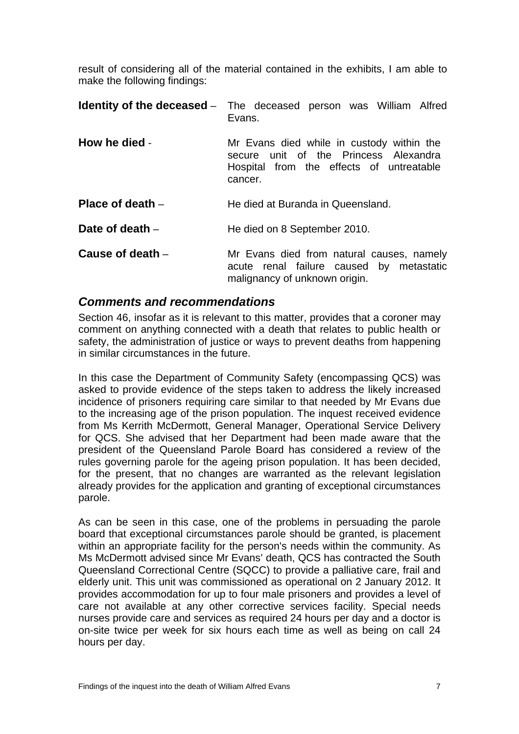<span id="page-8-0"></span>result of considering all of the material contained in the exhibits, I am able to make the following findings:

|                    | <b>Identity of the deceased</b> - The deceased person was William Alfred<br>Evans.                                                           |
|--------------------|----------------------------------------------------------------------------------------------------------------------------------------------|
| How he died -      | Mr Evans died while in custody within the<br>unit of the Princess Alexandra<br>secure<br>Hospital from the effects of untreatable<br>cancer. |
| Place of death $-$ | He died at Buranda in Queensland.                                                                                                            |
| Date of death $-$  | He died on 8 September 2010.                                                                                                                 |
| Cause of death $-$ | Mr Evans died from natural causes, namely<br>acute renal failure caused by metastatic<br>malignancy of unknown origin.                       |

#### *Comments and recommendations*

Section 46, insofar as it is relevant to this matter, provides that a coroner may comment on anything connected with a death that relates to public health or safety, the administration of justice or ways to prevent deaths from happening in similar circumstances in the future.

In this case the Department of Community Safety (encompassing QCS) was asked to provide evidence of the steps taken to address the likely increased incidence of prisoners requiring care similar to that needed by Mr Evans due to the increasing age of the prison population. The inquest received evidence from Ms Kerrith McDermott, General Manager, Operational Service Delivery for QCS. She advised that her Department had been made aware that the president of the Queensland Parole Board has considered a review of the rules governing parole for the ageing prison population. It has been decided, for the present, that no changes are warranted as the relevant legislation already provides for the application and granting of exceptional circumstances parole.

As can be seen in this case, one of the problems in persuading the parole board that exceptional circumstances parole should be granted, is placement within an appropriate facility for the person's needs within the community. As Ms McDermott advised since Mr Evans' death, QCS has contracted the South Queensland Correctional Centre (SQCC) to provide a palliative care, frail and elderly unit. This unit was commissioned as operational on 2 January 2012. It provides accommodation for up to four male prisoners and provides a level of care not available at any other corrective services facility. Special needs nurses provide care and services as required 24 hours per day and a doctor is on-site twice per week for six hours each time as well as being on call 24 hours per day.